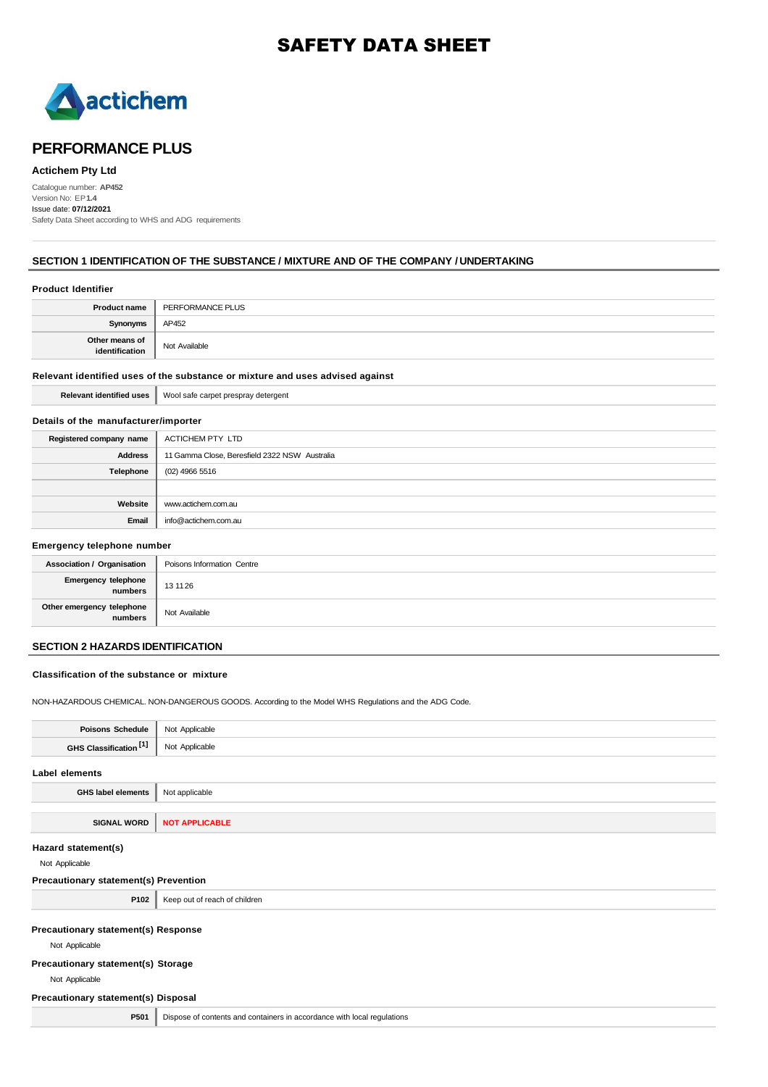# SAFETY DATA SHEET



# **PERFORMANCE PLUS**

### **Actichem Pty Ltd**

Catalogue number: **AP452** Version No: EP**1.4** Issue date: **07/12/2021** Safety Data Sheet according to WHS and ADG requirements

### **SECTION 1 IDENTIFICATION OF THE SUBSTANCE / MIXTURE AND OF THE COMPANY / UNDERTAKING**

# **Product Identifier Product name** PERFORMANCE PLUS **Synonyms AP452 Other means of identification** Not Available

## **Relevant identified uses of the substance or mixture and uses advised against**

|  |  | Relevant identified uses   Wool safe carpet prespray detergent |
|--|--|----------------------------------------------------------------|
|--|--|----------------------------------------------------------------|

### **Details of the manufacturer/importer**

| Registered company name | ACTICHEM PTY LTD                              |
|-------------------------|-----------------------------------------------|
| <b>Address</b>          | 11 Gamma Close, Beresfield 2322 NSW Australia |
| Telephone               | (02) 4966 5516                                |
|                         |                                               |
| Website                 | www.actichem.com.au                           |
| Email                   | info@actichem.com.au                          |

### **Emergency telephone number**

| <b>Association / Organisation</b>     | Poisons Information Centre |
|---------------------------------------|----------------------------|
| <b>Emergency telephone</b><br>numbers | 13 11 26                   |
| Other emergency telephone<br>numbers  | Not Available              |

# **SECTION 2 HAZARDS IDENTIFICATION**

### **Classification of the substance or mixture**

NON-HAZARDOUS CHEMICAL. NON-DANGEROUS GOODS. According to the Model WHS Regulations and the ADG Code.

| <b>Poisons Schedule</b>                               | Not Applicable                                                          |
|-------------------------------------------------------|-------------------------------------------------------------------------|
| GHS Classification [1]                                | Not Applicable                                                          |
| Label elements                                        |                                                                         |
| <b>GHS label elements</b>                             | Not applicable                                                          |
|                                                       |                                                                         |
| <b>SIGNAL WORD</b>                                    | <b>NOT APPLICABLE</b>                                                   |
| Hazard statement(s)<br>Not Applicable                 |                                                                         |
| Precautionary statement(s) Prevention                 |                                                                         |
| P102                                                  | Keep out of reach of children                                           |
| Precautionary statement(s) Response<br>Not Applicable |                                                                         |
| Precautionary statement(s) Storage                    |                                                                         |
| Not Applicable                                        |                                                                         |
| Precautionary statement(s) Disposal                   |                                                                         |
| P501                                                  | Dispose of contents and containers in accordance with local regulations |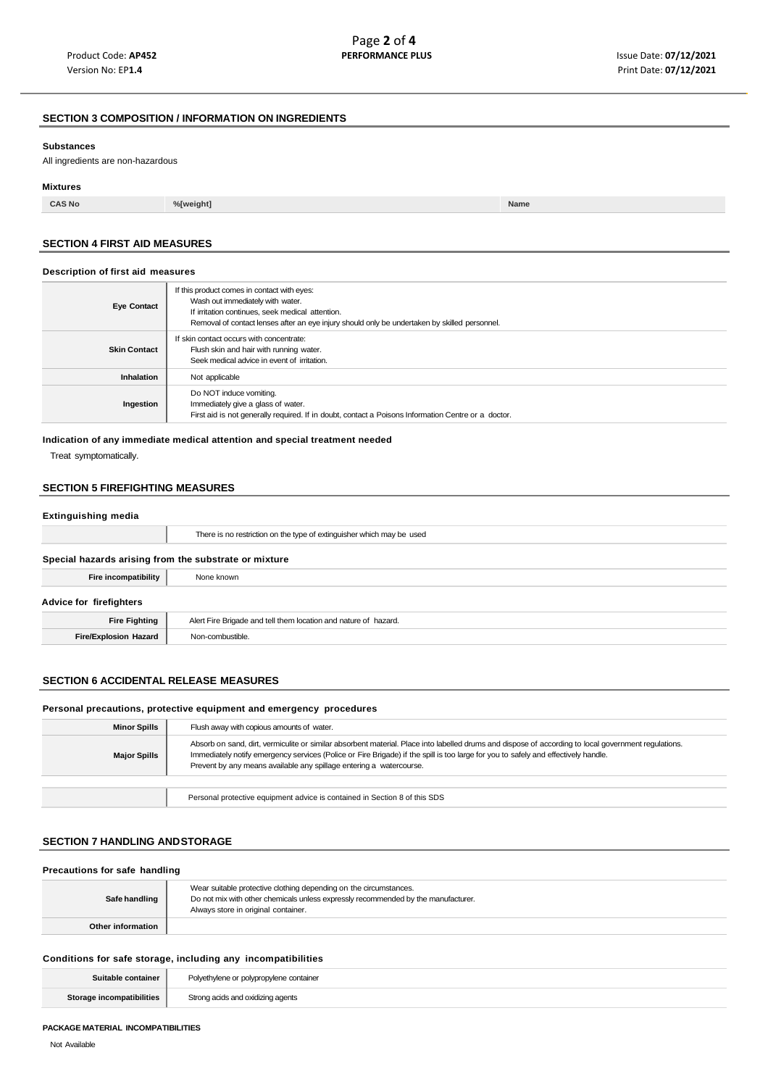# **SECTION 3 COMPOSITION / INFORMATION ON INGREDIENTS**

#### **Substances**

All ingredients are non-hazardous

#### **Mixtures**

**CAS No %[weight] Name**

### **SECTION 4 FIRST AID MEASURES**

### **Description of first aid measures**

| <b>Eye Contact</b>  | If this product comes in contact with eyes:<br>Wash out immediately with water.<br>If irritation continues, seek medical attention.<br>Removal of contact lenses after an eye injury should only be undertaken by skilled personnel. |
|---------------------|--------------------------------------------------------------------------------------------------------------------------------------------------------------------------------------------------------------------------------------|
| <b>Skin Contact</b> | If skin contact occurs with concentrate:<br>Flush skin and hair with running water.<br>Seek medical advice in event of irritation.                                                                                                   |
| <b>Inhalation</b>   | Not applicable                                                                                                                                                                                                                       |
| Ingestion           | Do NOT induce vomiting.<br>Immediately give a glass of water.<br>First aid is not generally required. If in doubt, contact a Poisons Information Centre or a doctor.                                                                 |

### **Indication of any immediate medical attention and special treatment needed**

Treat symptomatically.

# **SECTION 5 FIREFIGHTING MEASURES**

### **Extinguishing media**

|                                                       | There is no restriction on the type of extinguisher which may be used |  |
|-------------------------------------------------------|-----------------------------------------------------------------------|--|
| Special hazards arising from the substrate or mixture |                                                                       |  |
| Fire incompatibility                                  | None known                                                            |  |
| Advice for firefighters                               |                                                                       |  |
| <b>Fire Fighting</b>                                  | Alert Fire Brigade and tell them location and nature of hazard.       |  |
| <b>Fire/Explosion Hazard</b>                          | Non-combustible.                                                      |  |

### **SECTION 6 ACCIDENTAL RELEASE MEASURES**

#### **Personal precautions, protective equipment and emergency procedures**

| <b>Minor Spills</b> | Flush away with copious amounts of water.                                                                                                                                                                                                                                                                                                                         |
|---------------------|-------------------------------------------------------------------------------------------------------------------------------------------------------------------------------------------------------------------------------------------------------------------------------------------------------------------------------------------------------------------|
| <b>Major Spills</b> | Absorb on sand, dirt, vermiculite or similar absorbent material. Place into labelled drums and dispose of according to local government regulations.<br>Immediately notify emergency services (Police or Fire Brigade) if the spill is too large for you to safely and effectively handle.<br>Prevent by any means available any spillage entering a watercourse. |
|                     |                                                                                                                                                                                                                                                                                                                                                                   |
|                     | Personal protective equipment advice is contained in Section 8 of this SDS                                                                                                                                                                                                                                                                                        |

# **SECTION 7 HANDLING ANDSTORAGE**

| Precautions for safe handling |                                                                                                                                                                                               |  |
|-------------------------------|-----------------------------------------------------------------------------------------------------------------------------------------------------------------------------------------------|--|
| Safe handling                 | Wear suitable protective clothing depending on the circumstances.<br>Do not mix with other chemicals unless expressly recommended by the manufacturer.<br>Always store in original container. |  |
| Other information             |                                                                                                                                                                                               |  |

### **Conditions for safe storage, including any incompatibilities**

| Suitable container        | Polyethylene or polypropylene container |
|---------------------------|-----------------------------------------|
| Storage incompatibilities | Strong acids and oxidizing agents       |

#### **PACKAGE MATERIAL INCOMPATIBILITIES**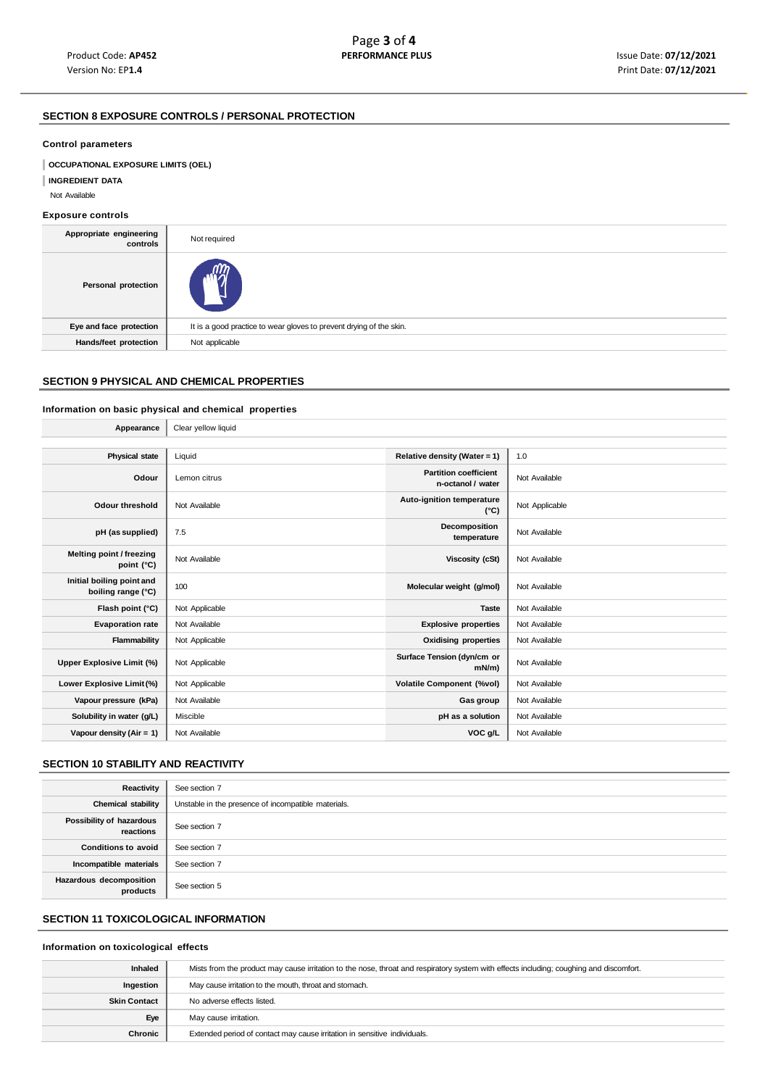# **SECTION 8 EXPOSURE CONTROLS / PERSONAL PROTECTION**

### **Control parameters**

**OCCUPATIONAL EXPOSURE LIMITS (OEL)** 

**INGREDIENT DATA**

Not Available

### **Exposure controls**

| Appropriate engineering<br>controls | Not required                                                        |
|-------------------------------------|---------------------------------------------------------------------|
| Personal protection                 |                                                                     |
| Eye and face protection             | It is a good practice to wear gloves to prevent drying of the skin. |
| Hands/feet protection               | Not applicable                                                      |
|                                     |                                                                     |

# **SECTION 9 PHYSICAL AND CHEMICAL PROPERTIES**

# **Information on basic physical and chemical properties**

| Appearance                                      | Clear yellow liquid |                                                   |                |
|-------------------------------------------------|---------------------|---------------------------------------------------|----------------|
|                                                 |                     |                                                   |                |
| <b>Physical state</b>                           | Liquid              | Relative density (Water = 1)                      | 1.0            |
| Odour                                           | Lemon citrus        | <b>Partition coefficient</b><br>n-octanol / water | Not Available  |
| <b>Odour threshold</b>                          | Not Available       | Auto-ignition temperature<br>$(^{\circ}C)$        | Not Applicable |
| pH (as supplied)                                | 7.5                 | Decomposition<br>temperature                      | Not Available  |
| Melting point / freezing<br>point (°C)          | Not Available       | Viscosity (cSt)                                   | Not Available  |
| Initial boiling point and<br>boiling range (°C) | 100                 | Molecular weight (g/mol)                          | Not Available  |
| Flash point (°C)                                | Not Applicable      | <b>Taste</b>                                      | Not Available  |
| <b>Evaporation rate</b>                         | Not Available       | <b>Explosive properties</b>                       | Not Available  |
| Flammability                                    | Not Applicable      | <b>Oxidising properties</b>                       | Not Available  |
| Upper Explosive Limit (%)                       | Not Applicable      | Surface Tension (dyn/cm or<br>$mN/m$ )            | Not Available  |
| Lower Explosive Limit (%)                       | Not Applicable      | <b>Volatile Component (%vol)</b>                  | Not Available  |
| Vapour pressure (kPa)                           | Not Available       | Gas group                                         | Not Available  |
| Solubility in water (g/L)                       | Miscible            | pH as a solution                                  | Not Available  |
| Vapour density $(Air = 1)$                      | Not Available       | VOC g/L                                           | Not Available  |

### **SECTION 10 STABILITY AND REACTIVITY**

| Reactivity                            | See section 7                                       |
|---------------------------------------|-----------------------------------------------------|
| <b>Chemical stability</b>             | Unstable in the presence of incompatible materials. |
| Possibility of hazardous<br>reactions | See section 7                                       |
| <b>Conditions to avoid</b>            | See section 7                                       |
| Incompatible materials                | See section 7                                       |
| Hazardous decomposition<br>products   | See section 5                                       |

## **SECTION 11 TOXICOLOGICAL INFORMATION**

### **Information on toxicological effects**

| <b>Inhaled</b>      | Mists from the product may cause irritation to the nose, throat and respiratory system with effects including; coughing and discomfort. |  |
|---------------------|-----------------------------------------------------------------------------------------------------------------------------------------|--|
| Ingestion           | May cause irritation to the mouth, throat and stomach.                                                                                  |  |
| <b>Skin Contact</b> | No adverse effects listed.                                                                                                              |  |
| Eye                 | May cause irritation.                                                                                                                   |  |
| Chronic             | Extended period of contact may cause irritation in sensitive individuals.                                                               |  |